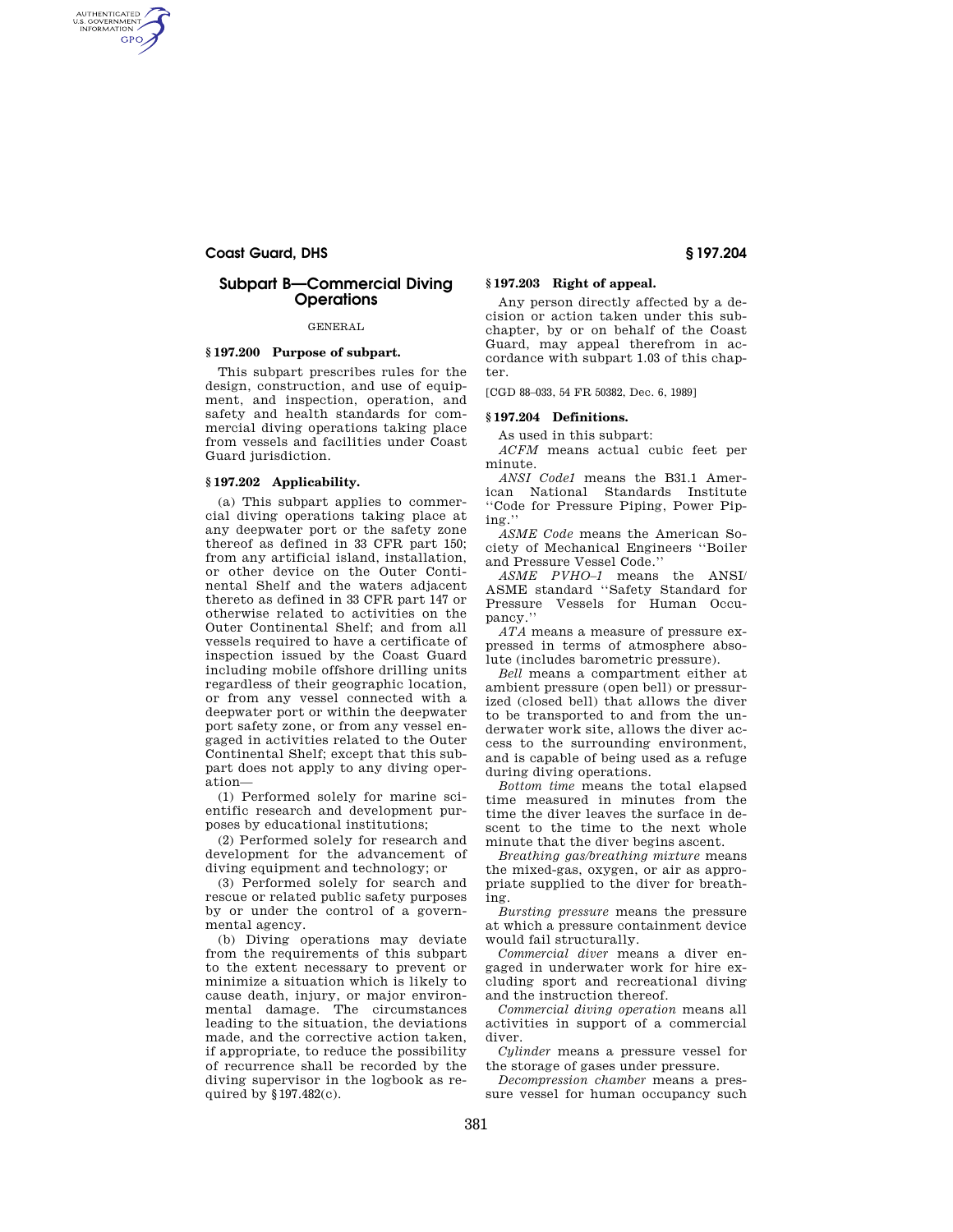# **Coast Guard, DHS § 197.204**

AUTHENTICATED<br>U.S. GOVERNMENT<br>INFORMATION GPO

# **Subpart B—Commercial Diving Operations**

GENERAL

# **§ 197.200 Purpose of subpart.**

This subpart prescribes rules for the design, construction, and use of equipment, and inspection, operation, and safety and health standards for commercial diving operations taking place from vessels and facilities under Coast Guard jurisdiction.

### **§ 197.202 Applicability.**

(a) This subpart applies to commercial diving operations taking place at any deepwater port or the safety zone thereof as defined in 33 CFR part 150; from any artificial island, installation, or other device on the Outer Continental Shelf and the waters adjacent thereto as defined in 33 CFR part 147 or otherwise related to activities on the Outer Continental Shelf; and from all vessels required to have a certificate of inspection issued by the Coast Guard including mobile offshore drilling units regardless of their geographic location, or from any vessel connected with a deepwater port or within the deepwater port safety zone, or from any vessel engaged in activities related to the Outer Continental Shelf; except that this subpart does not apply to any diving operation—

(1) Performed solely for marine scientific research and development purposes by educational institutions;

(2) Performed solely for research and development for the advancement of diving equipment and technology; or

(3) Performed solely for search and rescue or related public safety purposes by or under the control of a governmental agency.

(b) Diving operations may deviate from the requirements of this subpart to the extent necessary to prevent or minimize a situation which is likely to cause death, injury, or major environmental damage. The circumstances leading to the situation, the deviations made, and the corrective action taken, if appropriate, to reduce the possibility of recurrence shall be recorded by the diving supervisor in the logbook as required by §197.482(c).

**§ 197.203 Right of appeal.** 

Any person directly affected by a decision or action taken under this subchapter, by or on behalf of the Coast Guard, may appeal therefrom in accordance with subpart 1.03 of this chapter.

[CGD 88–033, 54 FR 50382, Dec. 6, 1989]

#### **§ 197.204 Definitions.**

As used in this subpart:

*ACFM* means actual cubic feet per minute.

*ANSI Code1* means the B31.1 American National Standards Institute ''Code for Pressure Piping, Power Piping.''

*ASME Code* means the American Society of Mechanical Engineers ''Boiler and Pressure Vessel Code.''

*ASME PVHO–1* means the ANSI/ ASME standard ''Safety Standard for Pressure Vessels for Human Occupancy.''

*ATA* means a measure of pressure expressed in terms of atmosphere absolute (includes barometric pressure).

*Bell* means a compartment either at ambient pressure (open bell) or pressurized (closed bell) that allows the diver to be transported to and from the underwater work site, allows the diver access to the surrounding environment, and is capable of being used as a refuge during diving operations.

*Bottom time* means the total elapsed time measured in minutes from the time the diver leaves the surface in descent to the time to the next whole minute that the diver begins ascent.

*Breathing gas/breathing mixture* means the mixed-gas, oxygen, or air as appropriate supplied to the diver for breathing.

*Bursting pressure* means the pressure at which a pressure containment device would fail structurally.

*Commercial diver* means a diver engaged in underwater work for hire excluding sport and recreational diving and the instruction thereof.

*Commercial diving operation* means all activities in support of a commercial diver.

*Cylinder* means a pressure vessel for the storage of gases under pressure.

*Decompression chamber* means a pressure vessel for human occupancy such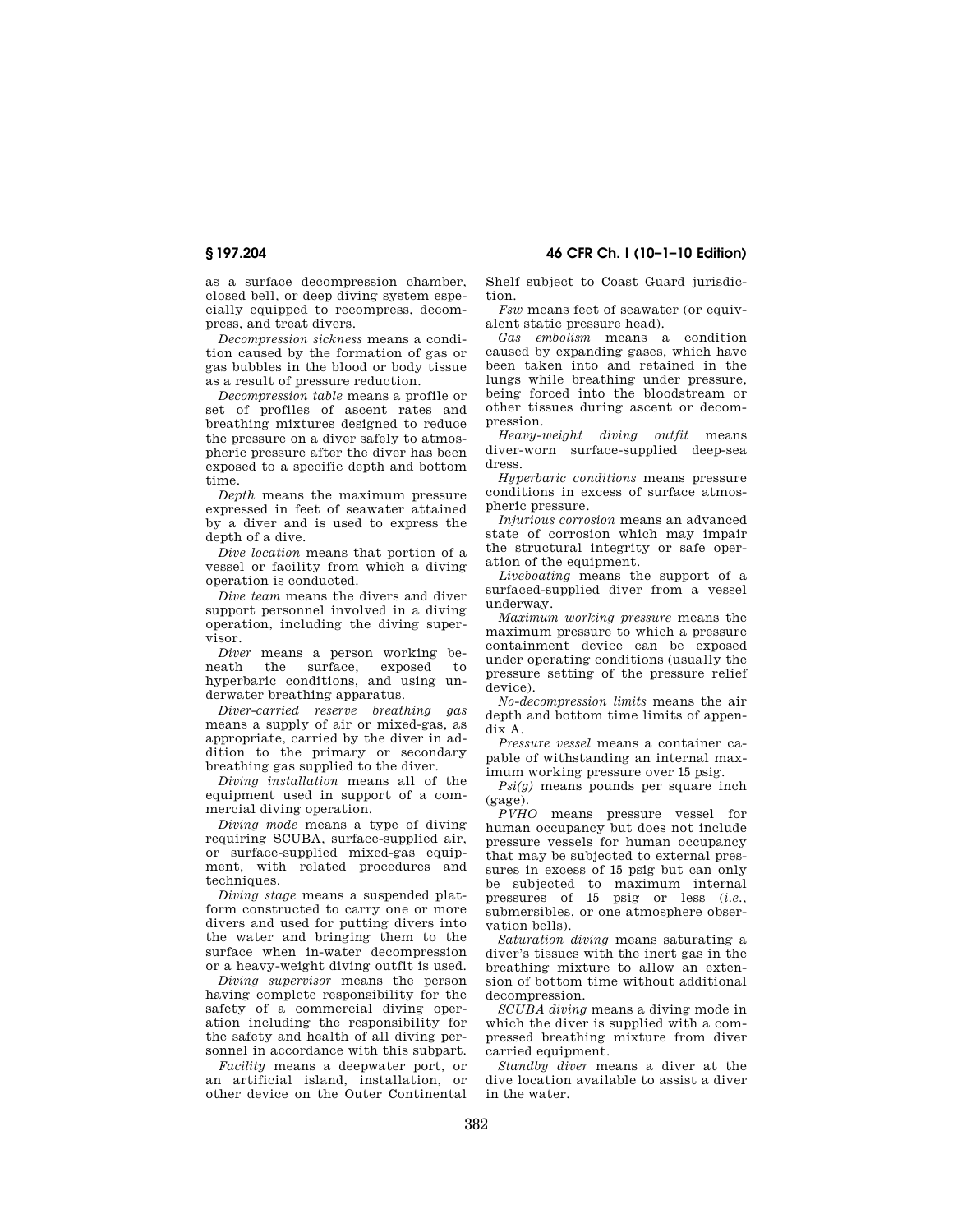as a surface decompression chamber, closed bell, or deep diving system especially equipped to recompress, decompress, and treat divers.

*Decompression sickness* means a condition caused by the formation of gas or gas bubbles in the blood or body tissue as a result of pressure reduction.

*Decompression table* means a profile or set of profiles of ascent rates and breathing mixtures designed to reduce the pressure on a diver safely to atmospheric pressure after the diver has been exposed to a specific depth and bottom time.

*Depth* means the maximum pressure expressed in feet of seawater attained by a diver and is used to express the depth of a dive.

*Dive location* means that portion of a vessel or facility from which a diving operation is conducted.

*Dive team* means the divers and diver support personnel involved in a diving operation, including the diving supervisor.

*Diver* means a person working beneath the surface, exposed to hyperbaric conditions, and using underwater breathing apparatus.

*Diver-carried reserve breathing gas*  means a supply of air or mixed-gas, as appropriate, carried by the diver in addition to the primary or secondary breathing gas supplied to the diver.

*Diving installation* means all of the equipment used in support of a commercial diving operation.

*Diving mode* means a type of diving requiring SCUBA, surface-supplied air, or surface-supplied mixed-gas equipment, with related procedures and techniques.

*Diving stage* means a suspended platform constructed to carry one or more divers and used for putting divers into the water and bringing them to the surface when in-water decompression or a heavy-weight diving outfit is used.

*Diving supervisor* means the person having complete responsibility for the safety of a commercial diving operation including the responsibility for the safety and health of all diving personnel in accordance with this subpart.

*Facility* means a deepwater port, or an artificial island, installation, or other device on the Outer Continental

**§ 197.204 46 CFR Ch. I (10–1–10 Edition)** 

Shelf subject to Coast Guard jurisdiction.

*Fsw* means feet of seawater (or equivalent static pressure head).

*Gas embolism* means a condition caused by expanding gases, which have been taken into and retained in the lungs while breathing under pressure, being forced into the bloodstream or other tissues during ascent or decompression.

*Heavy-weight diving outfit* means diver-worn surface-supplied deep-sea dress.

*Hyperbaric conditions* means pressure conditions in excess of surface atmospheric pressure.

*Injurious corrosion* means an advanced state of corrosion which may impair the structural integrity or safe operation of the equipment.

*Liveboating* means the support of a surfaced-supplied diver from a vessel underway.

*Maximum working pressure* means the maximum pressure to which a pressure containment device can be exposed under operating conditions (usually the pressure setting of the pressure relief device).

*No-decompression limits* means the air depth and bottom time limits of appendix A.

*Pressure vessel* means a container capable of withstanding an internal maximum working pressure over 15 psig.

*Psi(g)* means pounds per square inch (gage).

*PVHO* means pressure vessel for human occupancy but does not include pressure vessels for human occupancy that may be subjected to external pressures in excess of 15 psig but can only be subjected to maximum internal pressures of 15 psig or less (*i.e.*, submersibles, or one atmosphere observation bells).

*Saturation diving* means saturating a diver's tissues with the inert gas in the breathing mixture to allow an extension of bottom time without additional decompression.

*SCUBA diving* means a diving mode in which the diver is supplied with a compressed breathing mixture from diver carried equipment.

*Standby diver* means a diver at the dive location available to assist a diver in the water.